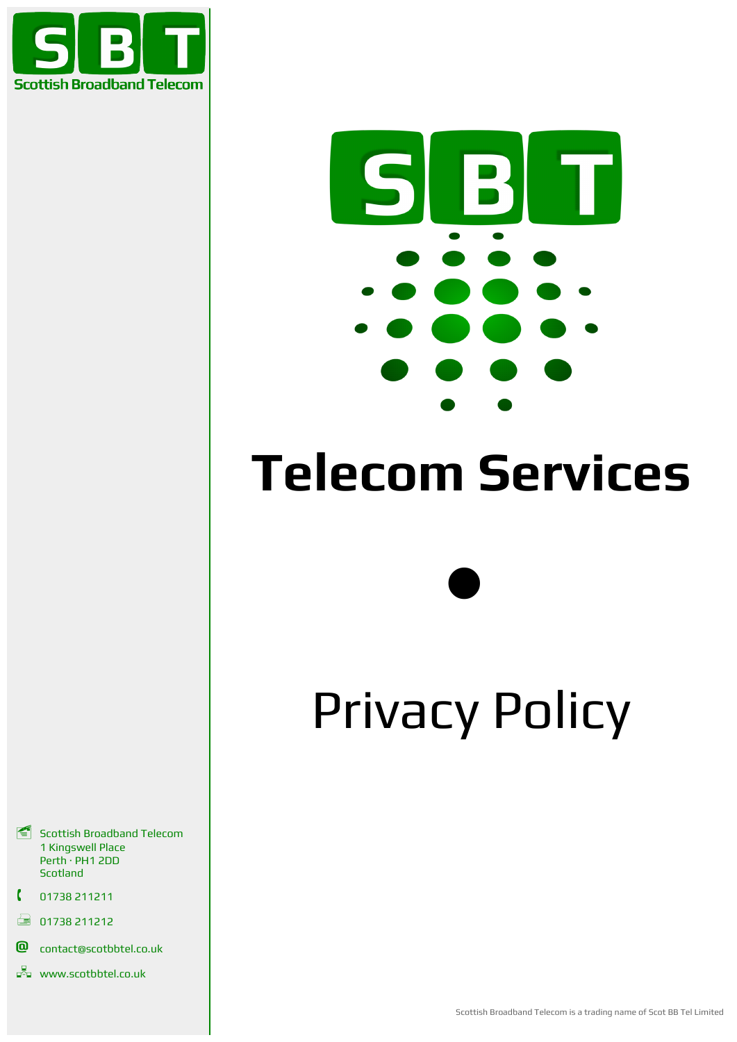



# **Telecom Services**

 $\bullet$ 

# Privacy Policy

- Scottish Broadband Telecom 1 Kingswell Place Perth · PH1 2DD Scotland
- 01738 211211
- $\Box$  01738 211212
- **@** contact@scotbbtel.co.uk
- $\Box$ www.scotbbtel.co.uk